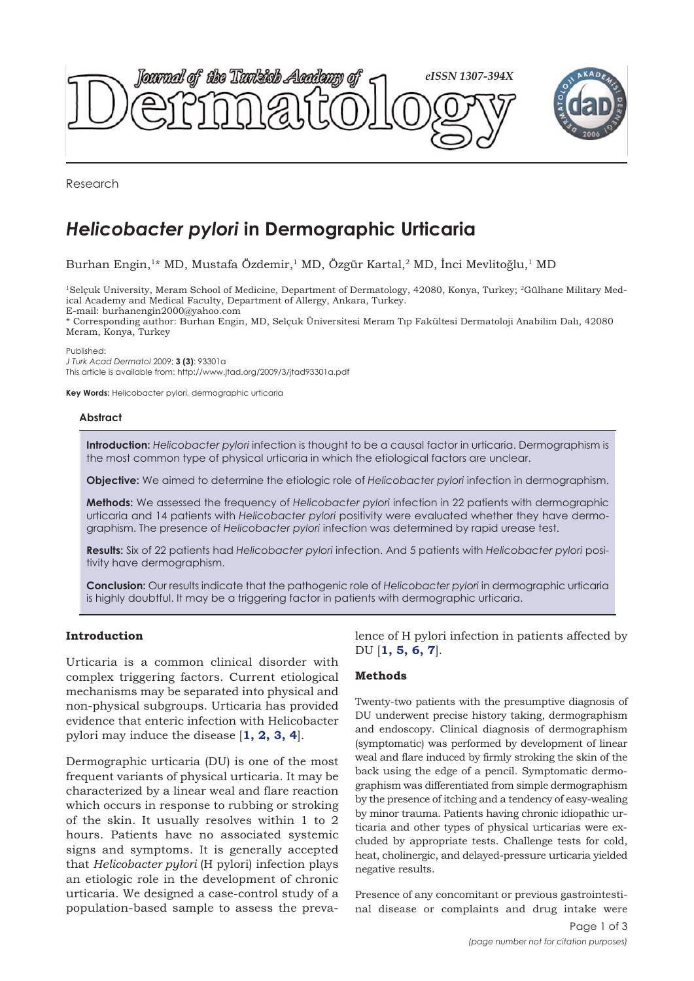



Research

# *Helicobacter pylori* **in Dermographic Urticaria**

Burhan Engin,<sup>1\*</sup> MD, Mustafa Özdemir,<sup>1</sup> MD, Özgür Kartal,<sup>2</sup> MD, İnci Mevlitoğlu,<sup>1</sup> MD

1Selçuk University, Meram School of Medicine, Department of Dermatology, 42080, Konya, Turkey; 2Gülhane Military Medical Academy and Medical Faculty, Department of Allergy, Ankara, Turkey. E-mail: burhanengin2000@yahoo.com

\* Corresponding author: Burhan Engin, MD, Selçuk Üniversitesi Meram Tıp Fakültesi Dermatoloji Anabilim Dalı, 42080 Meram, Konya, Turkey

Published:

*J Turk Acad Dermatol* 2009; **3 (3)**: 93301a This article is available from: http://www.jtad.org/2009/3/jtad93301a.pdf

**Key Words:** Helicobacter pylori, dermographic urticaria

### **Abstract**

**Introduction:** *Helicobacter pylori* infection is thought to be a causal factor in urticaria. Dermographism is the most common type of physical urticaria in which the etiological factors are unclear.

**Objective:** We aimed to determine the etiologic role of *Helicobacter pylori* infection in dermographism.

**Methods:** We assessed the frequency of *Helicobacter pylori* infection in 22 patients with dermographic urticaria and 14 patients with *Helicobacter pylori* positivity were evaluated whether they have dermographism. The presence of *Helicobacter pylori* infection was determined by rapid urease test.

**Results:** Six of 22 patients had *Helicobacter pylori* infection. And 5 patients with *Helicobacter pylori* positivity have dermographism.

**Conclusion:** Our results indicate that the pathogenic role of *Helicobacter pylori* in dermographic urticaria is highly doubtful. It may be a triggering factor in patients with dermographic urticaria.

## **Introduction**

Urticaria is a common clinical disorder with complex triggering factors. Current etiological mechanisms may be separated into physical and non-physical subgroups. Urticaria has provided evidence that enteric infection with Helicobacter pylori may induce the disease [**[1,](#page-2-0) [2](#page-2-0), [3, 4](#page-2-0)**].

Dermographic urticaria (DU) is one of the most frequent variants of physical urticaria. It may be characterized by a linear weal and flare reaction which occurs in response to rubbing or stroking of the skin. It usually resolves within 1 to 2 hours. Patients have no associated systemic signs and symptoms. It is generally accepted that *Helicobacter pylori* (H pylori) infection plays an etiologic role in the development of chronic urticaria. We designed a case-control study of a population-based sample to assess the prevalence of H pylori infection in patients affected by DU [**[1](#page-2-0), [5,](#page-2-0) [6](#page-2-0), [7](#page-2-0)**].

### **Methods**

Twenty-two patients with the presumptive diagnosis of DU underwent precise history taking, dermographism and endoscopy. Clinical diagnosis of dermographism (symptomatic) was performed by development of linear weal and flare induced by firmly stroking the skin of the back using the edge of a pencil. Symptomatic dermographism was differentiated from simple dermographism by the presence of itching and a tendency of easy-wealing by minor trauma. Patients having chronic idiopathic urticaria and other types of physical urticarias were excluded by appropriate tests. Challenge tests for cold, heat, cholinergic, and delayed-pressure urticaria yielded negative results.

Presence of any concomitant or previous gastrointestinal disease or complaints and drug intake were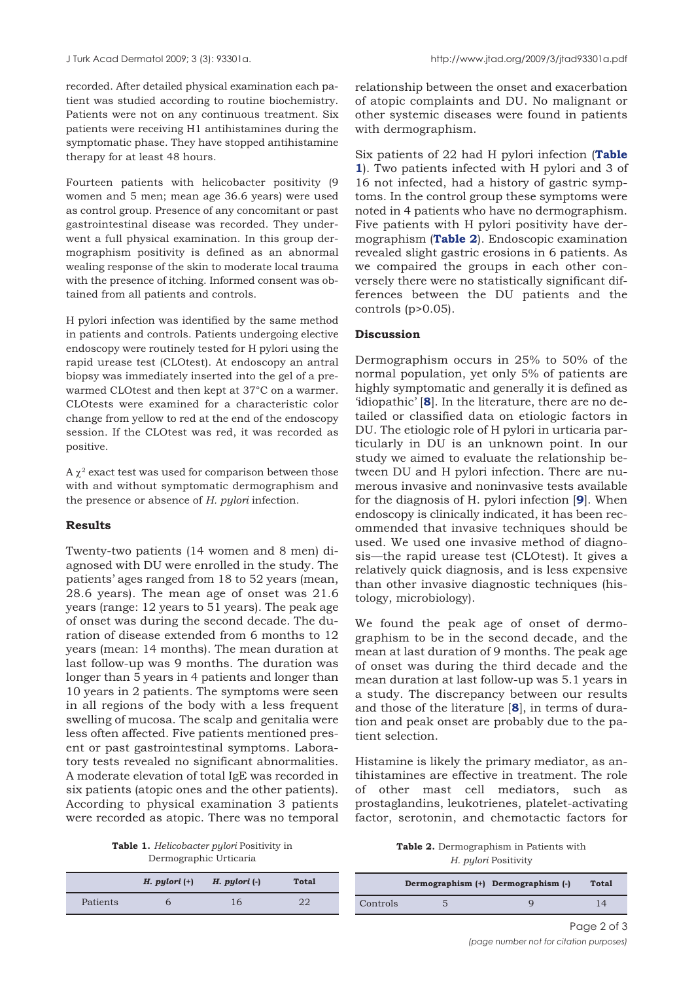recorded. After detailed physical examination each patient was studied according to routine biochemistry. Patients were not on any continuous treatment. Six patients were receiving H1 antihistamines during the symptomatic phase. They have stopped antihistamine therapy for at least 48 hours.

Fourteen patients with helicobacter positivity (9 women and 5 men; mean age 36.6 years) were used as control group. Presence of any concomitant or past gastrointestinal disease was recorded. They underwent a full physical examination. In this group dermographism positivity is defined as an abnormal wealing response of the skin to moderate local trauma with the presence of itching. Informed consent was obtained from all patients and controls.

H pylori infection was identified by the same method in patients and controls. Patients undergoing elective endoscopy were routinely tested for H pylori using the rapid urease test (CLOtest). At endoscopy an antral biopsy was immediately inserted into the gel of a prewarmed CLOtest and then kept at 37°C on a warmer. CLOtests were examined for a characteristic color change from yellow to red at the end of the endoscopy session. If the CLOtest was red, it was recorded as positive.

 $A \chi^2$  exact test was used for comparison between those with and without symptomatic dermographism and the presence or absence of *H. pylori* infection.

## **Results**

Twenty-two patients (14 women and 8 men) diagnosed with DU were enrolled in the study. The patients' ages ranged from 18 to 52 years (mean, 28.6 years). The mean age of onset was 21.6 years (range: 12 years to 51 years). The peak age of onset was during the second decade. The duration of disease extended from 6 months to 12 years (mean: 14 months). The mean duration at last follow-up was 9 months. The duration was longer than 5 years in 4 patients and longer than 10 years in 2 patients. The symptoms were seen in all regions of the body with a less frequent swelling of mucosa. The scalp and genitalia were less often affected. Five patients mentioned present or past gastrointestinal symptoms. Laboratory tests revealed no significant abnormalities. A moderate elevation of total IgE was recorded in six patients (atopic ones and the other patients). According to physical examination 3 patients were recorded as atopic. There was no temporal

**Table 1.** *Helicobacter pylori* Positivity in Dermographic Urticaria

|          | $H.$ pylori $(+)$ | $H.$ pylori $(\cdot)$ | Total |
|----------|-------------------|-----------------------|-------|
| Patients |                   |                       | ററ    |

relationship between the onset and exacerbation of atopic complaints and DU. No malignant or other systemic diseases were found in patients with dermographism.

Six patients of 22 had H pylori infection (**Table 1**). Two patients infected with H pylori and 3 of 16 not infected, had a history of gastric symptoms. In the control group these symptoms were noted in 4 patients who have no dermographism. Five patients with H pylori positivity have dermographism (**Table 2**). Endoscopic examination revealed slight gastric erosions in 6 patients. As we compaired the groups in each other conversely there were no statistically significant differences between the DU patients and the controls (p>0.05).

## **Discussion**

Dermographism occurs in 25% to 50% of the normal population, yet only 5% of patients are highly symptomatic and generally it is defined as 'idiopathic' [**[8](#page-2-0)**]. In the literature, there are no detailed or classified data on etiologic factors in DU. The etiologic role of H pylori in urticaria particularly in DU is an unknown point. In our study we aimed to evaluate the relationship between DU and H pylori infection. There are numerous invasive and noninvasive tests available for the diagnosis of H. pylori infection [**[9](#page-2-0)**]. When endoscopy is clinically indicated, it has been recommended that invasive techniques should be used. We used one invasive method of diagnosis—the rapid urease test (CLOtest). It gives a relatively quick diagnosis, and is less expensive than other invasive diagnostic techniques (histology, microbiology).

We found the peak age of onset of dermographism to be in the second decade, and the mean at last duration of 9 months. The peak age of onset was during the third decade and the mean duration at last follow-up was 5.1 years in a study. The discrepancy between our results and those of the literature [**[8](#page-2-0)**], in terms of duration and peak onset are probably due to the patient selection.

Histamine is likely the primary mediator, as antihistamines are effective in treatment. The role of other mast cell mediators, such as prostaglandins, leukotrienes, platelet-activating factor, serotonin, and chemotactic factors for

**Table 2.** Dermographism in Patients with *H. pylori* Positivity

|          | Dermographism (+) Dermographism (-) | <b>Total</b>                    |  |
|----------|-------------------------------------|---------------------------------|--|
| Controls |                                     | $\mathbf{1}$ $\mathbf{\Lambda}$ |  |